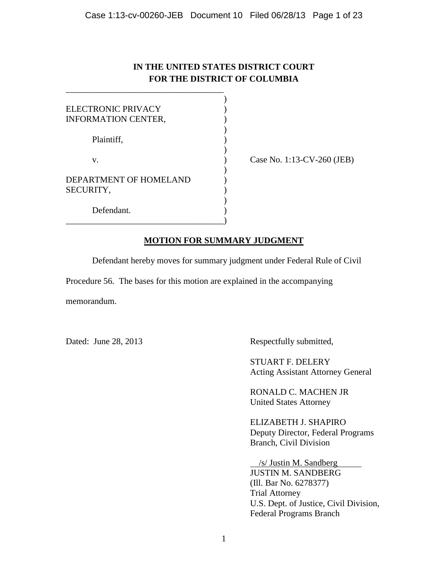# **IN THE UNITED STATES DISTRICT COURT FOR THE DISTRICT OF COLUMBIA**

| ELECTRONIC PRIVACY<br>INFORMATION CENTER, |  |
|-------------------------------------------|--|
| Plaintiff,                                |  |
| V.                                        |  |
| DEPARTMENT OF HOMELAND<br>SECURITY,       |  |
| Defendant.                                |  |

\_\_\_\_\_\_\_\_\_\_\_\_\_\_\_\_\_\_\_\_\_\_\_\_\_\_\_\_\_\_\_\_\_\_\_\_

Case No. 1:13-CV-260 (JEB)

# **MOTION FOR SUMMARY JUDGMENT**

Defendant hereby moves for summary judgment under Federal Rule of Civil

Procedure 56. The bases for this motion are explained in the accompanying

memorandum.

Dated: June 28, 2013 Respectfully submitted,

 STUART F. DELERY Acting Assistant Attorney General

RONALD C. MACHEN JR United States Attorney

 ELIZABETH J. SHAPIRO Deputy Director, Federal Programs Branch, Civil Division

 /s/ Justin M. Sandberg JUSTIN M. SANDBERG (Ill. Bar No. 6278377) Trial Attorney U.S. Dept. of Justice, Civil Division, Federal Programs Branch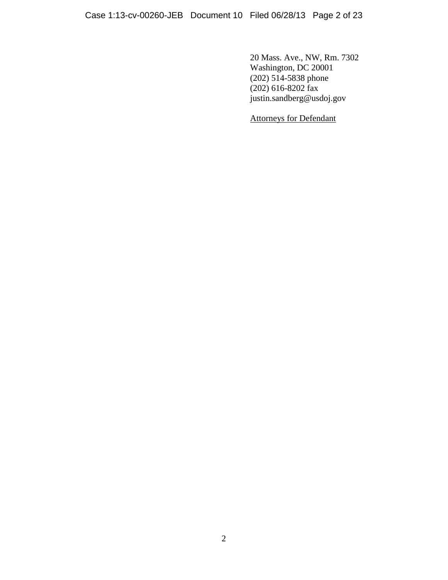20 Mass. Ave., NW, Rm. 7302 Washington, DC 20001 (202) 514-5838 phone (202) 616-8202 fax justin.sandberg@usdoj.gov

Attorneys for Defendant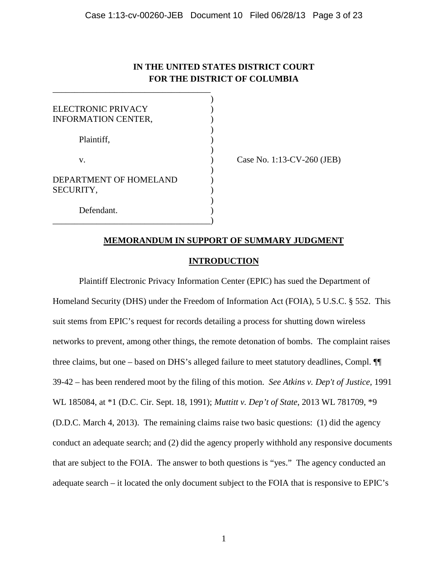# **IN THE UNITED STATES DISTRICT COURT FOR THE DISTRICT OF COLUMBIA**

| ELECTRONIC PRIVACY         |  |
|----------------------------|--|
| <b>INFORMATION CENTER,</b> |  |
|                            |  |
| Plaintiff,                 |  |
|                            |  |
| V.                         |  |
|                            |  |
| DEPARTMENT OF HOMELAND     |  |
| SECURITY,                  |  |
|                            |  |
| Defendant.                 |  |

\_\_\_\_\_\_\_\_\_\_\_\_\_\_\_\_\_\_\_\_\_\_\_\_\_\_\_\_\_\_\_\_\_\_\_\_)

\_\_\_\_\_\_\_\_\_\_\_\_\_\_\_\_\_\_\_\_\_\_\_\_\_\_\_\_\_\_\_\_\_\_\_\_

Case No. 1:13-CV-260 (JEB)

# **MEMORANDUM IN SUPPORT OF SUMMARY JUDGMENT**

#### **INTRODUCTION**

Plaintiff Electronic Privacy Information Center (EPIC) has sued the Department of Homeland Security (DHS) under the Freedom of Information Act (FOIA), 5 U.S.C. § 552. This suit stems from EPIC's request for records detailing a process for shutting down wireless networks to prevent, among other things, the remote detonation of bombs. The complaint raises three claims, but one – based on DHS's alleged failure to meet statutory deadlines, Compl. ¶¶ 39-42 – has been rendered moot by the filing of this motion. *See Atkins v. Dep't of Justice,* 1991 WL 185084, at \*1 (D.C. Cir. Sept. 18, 1991); *Muttitt v. Dep't of State*, 2013 WL 781709, \*9 (D.D.C. March 4, 2013). The remaining claims raise two basic questions: (1) did the agency conduct an adequate search; and (2) did the agency properly withhold any responsive documents that are subject to the FOIA. The answer to both questions is "yes." The agency conducted an adequate search – it located the only document subject to the FOIA that is responsive to EPIC's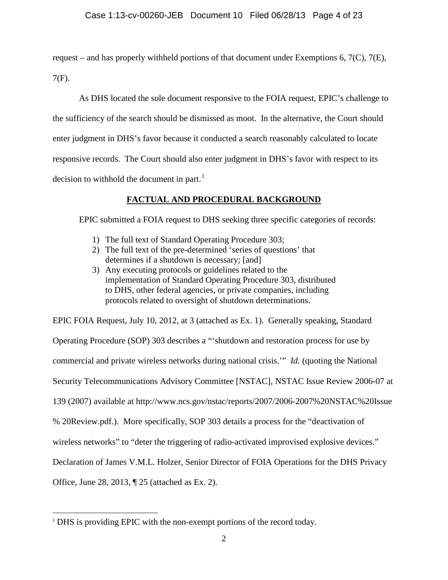request – and has properly withheld portions of that document under Exemptions 6,  $7(C)$ ,  $7(E)$ , 7(F).

As DHS located the sole document responsive to the FOIA request, EPIC's challenge to the sufficiency of the search should be dismissed as moot. In the alternative, the Court should enter judgment in DHS's favor because it conducted a search reasonably calculated to locate responsive records. The Court should also enter judgment in DHS's favor with respect to its decision to withhold the document in part. $<sup>1</sup>$ </sup>

# **FACTUAL AND PROCEDURAL BACKGROUND**

EPIC submitted a FOIA request to DHS seeking three specific categories of records:

- 1) The full text of Standard Operating Procedure 303;
- 2) The full text of the pre-determined 'series of questions' that determines if a shutdown is necessary; [and]
- 3) Any executing protocols or guidelines related to the implementation of Standard Operating Procedure 303, distributed to DHS, other federal agencies, or private companies, including protocols related to oversight of shutdown determinations.

EPIC FOIA Request, July 10, 2012, at 3 (attached as Ex. 1). Generally speaking, Standard

Operating Procedure (SOP) 303 describes a "'shutdown and restoration process for use by

commercial and private wireless networks during national crisis.'" *Id.* (quoting the National

Security Telecommunications Advisory Committee [NSTAC], NSTAC Issue Review 2006-07 at

139 (2007) available at http://www.ncs.gov/nstac/reports/2007/2006-2007%20NSTAC%20Issue

% 20Review.pdf.). More specifically, SOP 303 details a process for the "deactivation of

wireless networks" to "deter the triggering of radio-activated improvised explosive devices."

Declaration of James V.M.L. Holzer, Senior Director of FOIA Operations for the DHS Privacy

Office, June 28, 2013, ¶ 25 (attached as Ex. 2).

 $\overline{a}$ 

<sup>&</sup>lt;sup>1</sup> DHS is providing EPIC with the non-exempt portions of the record today.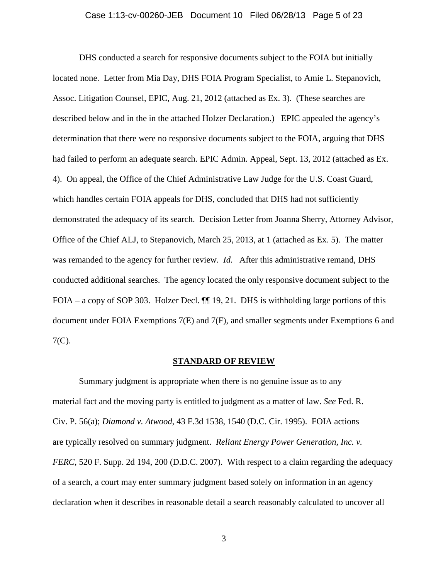# Case 1:13-cv-00260-JEB Document 10 Filed 06/28/13 Page 5 of 23

 DHS conducted a search for responsive documents subject to the FOIA but initially located none. Letter from Mia Day, DHS FOIA Program Specialist, to Amie L. Stepanovich, Assoc. Litigation Counsel, EPIC, Aug. 21, 2012 (attached as Ex. 3). (These searches are described below and in the in the attached Holzer Declaration.) EPIC appealed the agency's determination that there were no responsive documents subject to the FOIA, arguing that DHS had failed to perform an adequate search. EPIC Admin. Appeal, Sept. 13, 2012 (attached as Ex. 4). On appeal, the Office of the Chief Administrative Law Judge for the U.S. Coast Guard, which handles certain FOIA appeals for DHS, concluded that DHS had not sufficiently demonstrated the adequacy of its search. Decision Letter from Joanna Sherry, Attorney Advisor, Office of the Chief ALJ, to Stepanovich, March 25, 2013, at 1 (attached as Ex. 5). The matter was remanded to the agency for further review. *Id.* After this administrative remand, DHS conducted additional searches. The agency located the only responsive document subject to the FOIA – a copy of SOP 303. Holzer Decl.  $\P$  19, 21. DHS is withholding large portions of this document under FOIA Exemptions 7(E) and 7(F), and smaller segments under Exemptions 6 and 7(C).

#### **STANDARD OF REVIEW**

Summary judgment is appropriate when there is no genuine issue as to any material fact and the moving party is entitled to judgment as a matter of law. *See* Fed. R. Civ. P. 56(a); *Diamond v. Atwood*, 43 F.3d 1538, 1540 (D.C. Cir. 1995). FOIA actions are typically resolved on summary judgment. *Reliant Energy Power Generation, Inc. v. FERC*, 520 F. Supp. 2d 194, 200 (D.D.C. 2007). With respect to a claim regarding the adequacy of a search, a court may enter summary judgment based solely on information in an agency declaration when it describes in reasonable detail a search reasonably calculated to uncover all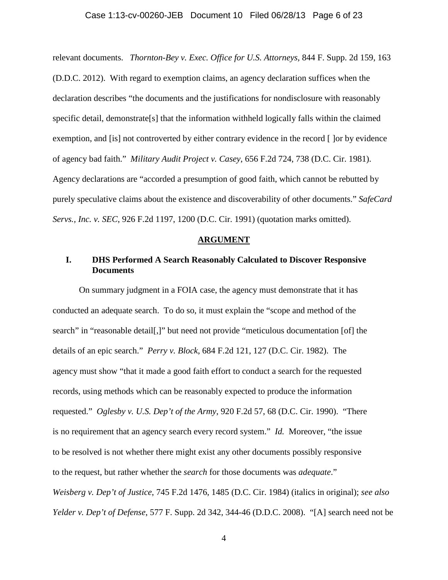#### Case 1:13-cv-00260-JEB Document 10 Filed 06/28/13 Page 6 of 23

relevant documents. *Thornton-Bey v. Exec. Office for U.S. Attorneys,* 844 F. Supp. 2d 159, 163 (D.D.C. 2012). With regard to exemption claims, an agency declaration suffices when the declaration describes "the documents and the justifications for nondisclosure with reasonably specific detail, demonstrate[s] that the information withheld logically falls within the claimed exemption, and [is] not controverted by either contrary evidence in the record [ ]or by evidence of agency bad faith." *Military Audit Project v. Casey*, 656 F.2d 724, 738 (D.C. Cir. 1981). Agency declarations are "accorded a presumption of good faith, which cannot be rebutted by purely speculative claims about the existence and discoverability of other documents." *SafeCard Servs., Inc. v. SEC*, 926 F.2d 1197, 1200 (D.C. Cir. 1991) (quotation marks omitted).

#### **ARGUMENT**

## **I. DHS Performed A Search Reasonably Calculated to Discover Responsive Documents**

On summary judgment in a FOIA case, the agency must demonstrate that it has conducted an adequate search. To do so, it must explain the "scope and method of the search" in "reasonable detail[,]" but need not provide "meticulous documentation [of] the details of an epic search." *Perry v. Block*, 684 F.2d 121, 127 (D.C. Cir. 1982). The agency must show "that it made a good faith effort to conduct a search for the requested records, using methods which can be reasonably expected to produce the information requested." *Oglesby v. U.S. Dep't of the Army*, 920 F.2d 57, 68 (D.C. Cir. 1990). "There is no requirement that an agency search every record system." *Id.* Moreover, "the issue to be resolved is not whether there might exist any other documents possibly responsive to the request, but rather whether the *search* for those documents was *adequate*." *Weisberg v. Dep't of Justice*, 745 F.2d 1476, 1485 (D.C. Cir. 1984) (italics in original); *see also Yelder v. Dep't of Defense*, 577 F. Supp. 2d 342, 344-46 (D.D.C. 2008). "[A] search need not be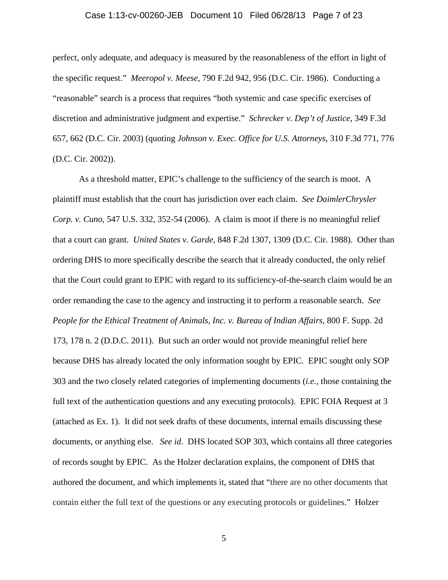#### Case 1:13-cv-00260-JEB Document 10 Filed 06/28/13 Page 7 of 23

perfect, only adequate, and adequacy is measured by the reasonableness of the effort in light of the specific request." *Meeropol v. Meese*, 790 F.2d 942, 956 (D.C. Cir. 1986).Conducting a "reasonable" search is a process that requires "both systemic and case specific exercises of discretion and administrative judgment and expertise." *Schrecker v. Dep't of Justice*, 349 F.3d 657, 662 (D.C. Cir. 2003) (quoting *Johnson v. Exec. Office for U.S. Attorneys*, 310 F.3d 771, 776 (D.C. Cir. 2002)).

As a threshold matter, EPIC's challenge to the sufficiency of the search is moot. A plaintiff must establish that the court has jurisdiction over each claim. *See DaimlerChrysler Corp. v. Cuno*, 547 U.S. 332, 352-54 (2006). A claim is moot if there is no meaningful relief that a court can grant. *United States v. Garde*, 848 F.2d 1307, 1309 (D.C. Cir. 1988). Other than ordering DHS to more specifically describe the search that it already conducted, the only relief that the Court could grant to EPIC with regard to its sufficiency-of-the-search claim would be an order remanding the case to the agency and instructing it to perform a reasonable search. *See People for the Ethical Treatment of Animals, Inc. v. Bureau of Indian Affairs*, 800 F. Supp. 2d 173, 178 n. 2 (D.D.C. 2011). But such an order would not provide meaningful relief here because DHS has already located the only information sought by EPIC. EPIC sought only SOP 303 and the two closely related categories of implementing documents (*i.e.*, those containing the full text of the authentication questions and any executing protocols). EPIC FOIA Request at 3 (attached as Ex. 1). It did not seek drafts of these documents, internal emails discussing these documents, or anything else. *See id*. DHS located SOP 303, which contains all three categories of records sought by EPIC. As the Holzer declaration explains, the component of DHS that authored the document, and which implements it, stated that "there are no other documents that contain either the full text of the questions or any executing protocols or guidelines." Holzer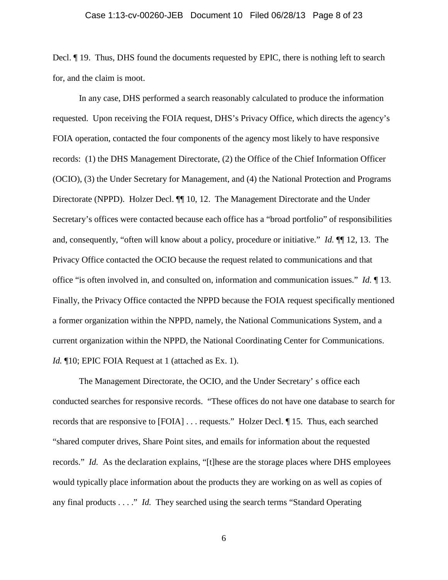#### Case 1:13-cv-00260-JEB Document 10 Filed 06/28/13 Page 8 of 23

Decl. ¶ 19. Thus, DHS found the documents requested by EPIC, there is nothing left to search for, and the claim is moot.

In any case, DHS performed a search reasonably calculated to produce the information requested. Upon receiving the FOIA request, DHS's Privacy Office, which directs the agency's FOIA operation, contacted the four components of the agency most likely to have responsive records: (1) the DHS Management Directorate, (2) the Office of the Chief Information Officer (OCIO), (3) the Under Secretary for Management, and (4) the National Protection and Programs Directorate (NPPD). Holzer Decl.  $\P\P$  10, 12. The Management Directorate and the Under Secretary's offices were contacted because each office has a "broad portfolio" of responsibilities and, consequently, "often will know about a policy, procedure or initiative." *Id.* ¶¶ 12, 13. The Privacy Office contacted the OCIO because the request related to communications and that office "is often involved in, and consulted on, information and communication issues." *Id.* ¶ 13. Finally, the Privacy Office contacted the NPPD because the FOIA request specifically mentioned a former organization within the NPPD, namely, the National Communications System, and a current organization within the NPPD, the National Coordinating Center for Communications. *Id.* 10; EPIC FOIA Request at 1 (attached as Ex. 1).

The Management Directorate, the OCIO, and the Under Secretary' s office each conducted searches for responsive records. "These offices do not have one database to search for records that are responsive to [FOIA] . . . requests." Holzer Decl. ¶ 15. Thus, each searched "shared computer drives, Share Point sites, and emails for information about the requested records." *Id.* As the declaration explains, "[t]hese are the storage places where DHS employees would typically place information about the products they are working on as well as copies of any final products . . . ." *Id.* They searched using the search terms "Standard Operating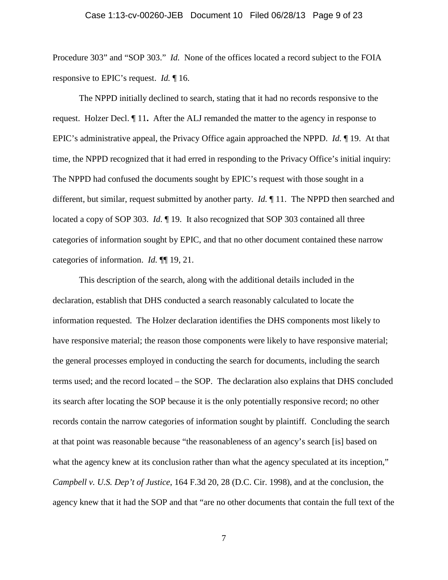#### Case 1:13-cv-00260-JEB Document 10 Filed 06/28/13 Page 9 of 23

Procedure 303" and "SOP 303." *Id.* None of the offices located a record subject to the FOIA responsive to EPIC's request. *Id.* ¶ 16.

 The NPPD initially declined to search, stating that it had no records responsive to the request. Holzer Decl. ¶ 11**.** After the ALJ remanded the matter to the agency in response to EPIC's administrative appeal, the Privacy Office again approached the NPPD. *Id.* ¶ 19. At that time, the NPPD recognized that it had erred in responding to the Privacy Office's initial inquiry: The NPPD had confused the documents sought by EPIC's request with those sought in a different, but similar, request submitted by another party. *Id.* ¶ 11. The NPPD then searched and located a copy of SOP 303. *Id*. ¶ 19. It also recognized that SOP 303 contained all three categories of information sought by EPIC, and that no other document contained these narrow categories of information. *Id.* ¶¶ 19, 21.

 This description of the search, along with the additional details included in the declaration, establish that DHS conducted a search reasonably calculated to locate the information requested. The Holzer declaration identifies the DHS components most likely to have responsive material; the reason those components were likely to have responsive material; the general processes employed in conducting the search for documents, including the search terms used; and the record located – the SOP. The declaration also explains that DHS concluded its search after locating the SOP because it is the only potentially responsive record; no other records contain the narrow categories of information sought by plaintiff. Concluding the search at that point was reasonable because "the reasonableness of an agency's search [is] based on what the agency knew at its conclusion rather than what the agency speculated at its inception," *Campbell v. U.S. Dep't of Justice*, 164 F.3d 20, 28 (D.C. Cir. 1998), and at the conclusion, the agency knew that it had the SOP and that "are no other documents that contain the full text of the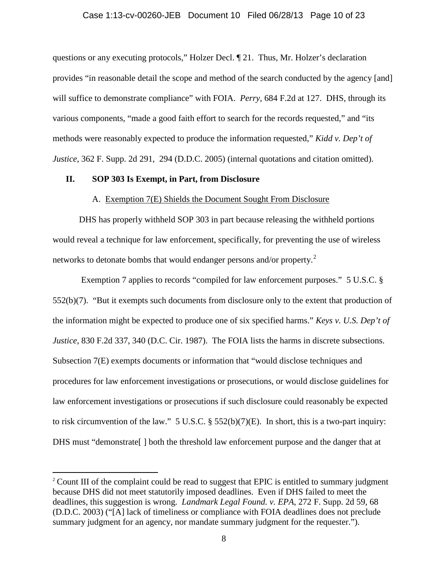#### Case 1:13-cv-00260-JEB Document 10 Filed 06/28/13 Page 10 of 23

questions or any executing protocols," Holzer Decl. ¶ 21. Thus, Mr. Holzer's declaration provides "in reasonable detail the scope and method of the search conducted by the agency [and] will suffice to demonstrate compliance" with FOIA. *Perry*, 684 F.2d at 127. DHS, through its various components, "made a good faith effort to search for the records requested," and "its methods were reasonably expected to produce the information requested," *Kidd v. Dep't of Justice*, 362 F. Supp. 2d 291, 294 (D.D.C. 2005) (internal quotations and citation omitted).

#### **II. SOP 303 Is Exempt, in Part, from Disclosure**

 $\overline{a}$ 

#### A. Exemption 7(E) Shields the Document Sought From Disclosure

DHS has properly withheld SOP 303 in part because releasing the withheld portions would reveal a technique for law enforcement, specifically, for preventing the use of wireless networks to detonate bombs that would endanger persons and/or property.<sup>2</sup>

 Exemption 7 applies to records "compiled for law enforcement purposes." 5 U.S.C. § 552(b)(7). "But it exempts such documents from disclosure only to the extent that production of the information might be expected to produce one of six specified harms." *Keys v. U.S. Dep't of Justice*, 830 F.2d 337, 340 (D.C. Cir. 1987). The FOIA lists the harms in discrete subsections. Subsection 7(E) exempts documents or information that "would disclose techniques and procedures for law enforcement investigations or prosecutions, or would disclose guidelines for law enforcement investigations or prosecutions if such disclosure could reasonably be expected to risk circumvention of the law."  $5 \text{ U.S.C.} \$  $552(b)(7)(E)$ . In short, this is a two-part inquiry: DHS must "demonstrate[ ] both the threshold law enforcement purpose and the danger that at

<sup>&</sup>lt;sup>2</sup> Count III of the complaint could be read to suggest that EPIC is entitled to summary judgment because DHS did not meet statutorily imposed deadlines. Even if DHS failed to meet the deadlines, this suggestion is wrong. *Landmark Legal Found. v. EPA*, 272 F. Supp. 2d 59, 68 (D.D.C. 2003) ("[A] lack of timeliness or compliance with FOIA deadlines does not preclude summary judgment for an agency, nor mandate summary judgment for the requester.").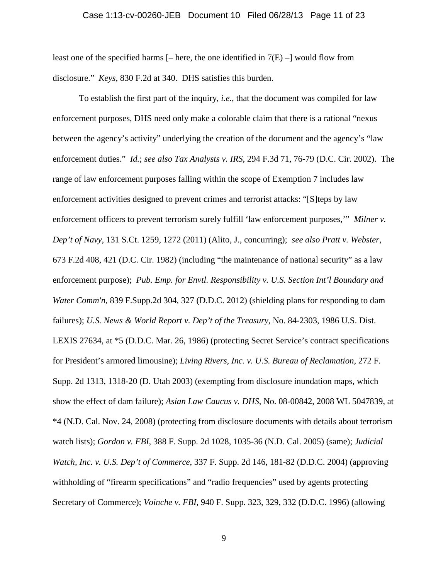#### Case 1:13-cv-00260-JEB Document 10 Filed 06/28/13 Page 11 of 23

least one of the specified harms  $[-$  here, the one identified in  $7(E)$  – $]$  would flow from disclosure." *Keys*, 830 F.2d at 340. DHS satisfies this burden.

To establish the first part of the inquiry, *i.e.*, that the document was compiled for law enforcement purposes, DHS need only make a colorable claim that there is a rational "nexus between the agency's activity" underlying the creation of the document and the agency's "law enforcement duties." *Id.*; *see also Tax Analysts v. IRS*, 294 F.3d 71, 76-79 (D.C. Cir. 2002). The range of law enforcement purposes falling within the scope of Exemption 7 includes law enforcement activities designed to prevent crimes and terrorist attacks: "[S]teps by law enforcement officers to prevent terrorism surely fulfill 'law enforcement purposes,'" *Milner v. Dep't of Navy*, 131 S.Ct. 1259, 1272 (2011) (Alito, J., concurring); *see also Pratt v. Webster*, 673 F.2d 408, 421 (D.C. Cir. 1982) (including "the maintenance of national security" as a law enforcement purpose); *Pub. Emp. for Envtl. Responsibility v. U.S. Section Int'l Boundary and Water Comm'n*, 839 F.Supp.2d 304, 327 (D.D.C. 2012) (shielding plans for responding to dam failures); *U.S. News & World Report v. Dep't of the Treasury*, No. 84-2303, 1986 U.S. Dist. LEXIS 27634, at \*5 (D.D.C. Mar. 26, 1986) (protecting Secret Service's contract specifications for President's armored limousine); *Living Rivers, Inc. v. U.S. Bureau of Reclamation*, 272 F. Supp. 2d 1313, 1318-20 (D. Utah 2003) (exempting from disclosure inundation maps, which show the effect of dam failure); *Asian Law Caucus v. DHS*, No. 08-00842, 2008 WL 5047839, at \*4 (N.D. Cal. Nov. 24, 2008) (protecting from disclosure documents with details about terrorism watch lists); *Gordon v. FBI*, 388 F. Supp. 2d 1028, 1035-36 (N.D. Cal. 2005) (same); *Judicial Watch, Inc. v. U.S. Dep't of Commerce*, 337 F. Supp. 2d 146, 181-82 (D.D.C. 2004) (approving withholding of "firearm specifications" and "radio frequencies" used by agents protecting Secretary of Commerce); *Voinche v. FBI*, 940 F. Supp. 323, 329, 332 (D.D.C. 1996) (allowing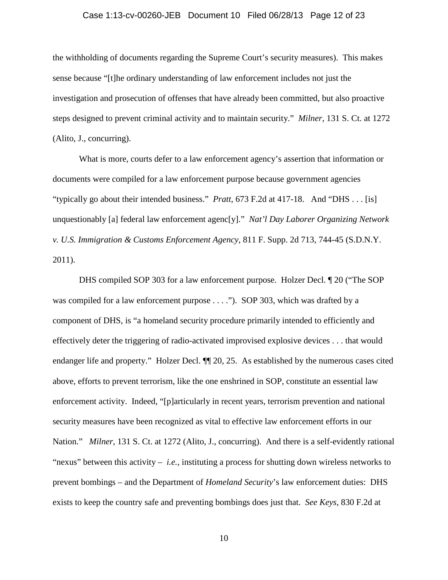#### Case 1:13-cv-00260-JEB Document 10 Filed 06/28/13 Page 12 of 23

the withholding of documents regarding the Supreme Court's security measures). This makes sense because "[t]he ordinary understanding of law enforcement includes not just the investigation and prosecution of offenses that have already been committed, but also proactive steps designed to prevent criminal activity and to maintain security." *Milner*, 131 S. Ct. at 1272 (Alito, J., concurring).

What is more, courts defer to a law enforcement agency's assertion that information or documents were compiled for a law enforcement purpose because government agencies "typically go about their intended business." *Pratt*, 673 F.2d at 417-18. And "DHS . . . [is] unquestionably [a] federal law enforcement agenc[y]." *Nat'l Day Laborer Organizing Network v. U.S. Immigration & Customs Enforcement Agency*, 811 F. Supp. 2d 713, 744-45 (S.D.N.Y. 2011).

DHS compiled SOP 303 for a law enforcement purpose. Holzer Decl. ¶ 20 ("The SOP was compiled for a law enforcement purpose . . . ."). SOP 303, which was drafted by a component of DHS, is "a homeland security procedure primarily intended to efficiently and effectively deter the triggering of radio-activated improvised explosive devices . . . that would endanger life and property." Holzer Decl.  $\P$  20, 25. As established by the numerous cases cited above, efforts to prevent terrorism, like the one enshrined in SOP, constitute an essential law enforcement activity. Indeed, "[p]articularly in recent years, terrorism prevention and national security measures have been recognized as vital to effective law enforcement efforts in our Nation." *Milner*, 131 S. Ct. at 1272 (Alito, J., concurring). And there is a self-evidently rational "nexus" between this activity – *i.e.*, instituting a process for shutting down wireless networks to prevent bombings – and the Department of *Homeland Security*'s law enforcement duties: DHS exists to keep the country safe and preventing bombings does just that. *See Keys*, 830 F.2d at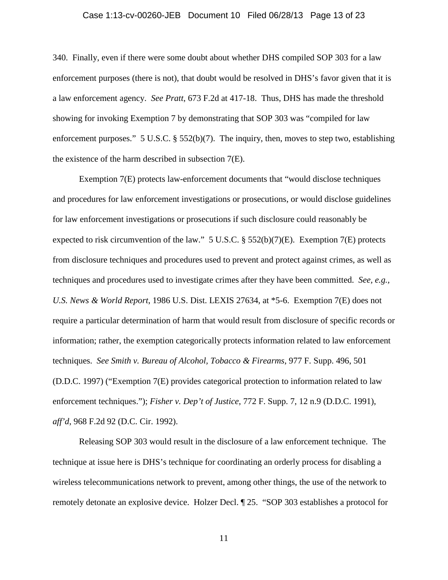#### Case 1:13-cv-00260-JEB Document 10 Filed 06/28/13 Page 13 of 23

340. Finally, even if there were some doubt about whether DHS compiled SOP 303 for a law enforcement purposes (there is not), that doubt would be resolved in DHS's favor given that it is a law enforcement agency. *See Pratt*, 673 F.2d at 417-18. Thus, DHS has made the threshold showing for invoking Exemption 7 by demonstrating that SOP 303 was "compiled for law enforcement purposes." 5 U.S.C. § 552(b)(7). The inquiry, then, moves to step two, establishing the existence of the harm described in subsection 7(E).

Exemption 7(E) protects law-enforcement documents that "would disclose techniques and procedures for law enforcement investigations or prosecutions, or would disclose guidelines for law enforcement investigations or prosecutions if such disclosure could reasonably be expected to risk circumvention of the law." 5 U.S.C.  $\S$  552(b)(7)(E). Exemption 7(E) protects from disclosure techniques and procedures used to prevent and protect against crimes, as well as techniques and procedures used to investigate crimes after they have been committed. *See, e.g., U.S. News & World Report*, 1986 U.S. Dist. LEXIS 27634, at \*5-6. Exemption 7(E) does not require a particular determination of harm that would result from disclosure of specific records or information; rather, the exemption categorically protects information related to law enforcement techniques. *See Smith v. Bureau of Alcohol, Tobacco & Firearms*, 977 F. Supp. 496, 501 (D.D.C. 1997) ("Exemption 7(E) provides categorical protection to information related to law enforcement techniques."); *Fisher v. Dep't of Justice*, 772 F. Supp. 7, 12 n.9 (D.D.C. 1991), *aff'd*, 968 F.2d 92 (D.C. Cir. 1992).

Releasing SOP 303 would result in the disclosure of a law enforcement technique. The technique at issue here is DHS's technique for coordinating an orderly process for disabling a wireless telecommunications network to prevent, among other things, the use of the network to remotely detonate an explosive device. Holzer Decl. ¶ 25. "SOP 303 establishes a protocol for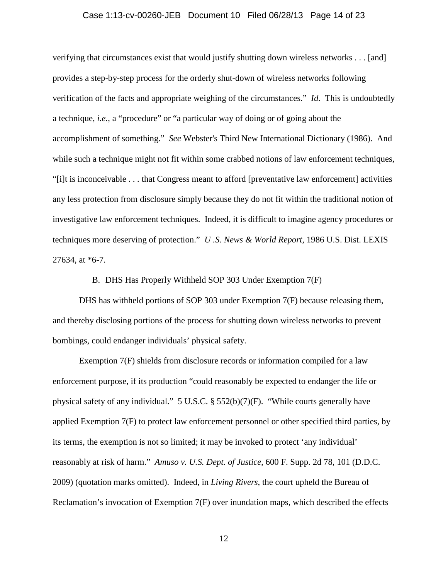#### Case 1:13-cv-00260-JEB Document 10 Filed 06/28/13 Page 14 of 23

verifying that circumstances exist that would justify shutting down wireless networks . . . [and] provides a step-by-step process for the orderly shut-down of wireless networks following verification of the facts and appropriate weighing of the circumstances." *Id.* This is undoubtedly a technique, *i.e.*, a "procedure" or "a particular way of doing or of going about the accomplishment of something." *See* Webster's Third New International Dictionary (1986). And while such a technique might not fit within some crabbed notions of law enforcement techniques, "[i]t is inconceivable . . . that Congress meant to afford [preventative law enforcement] activities any less protection from disclosure simply because they do not fit within the traditional notion of investigative law enforcement techniques. Indeed, it is difficult to imagine agency procedures or techniques more deserving of protection." *U .S. News & World Report*, 1986 U.S. Dist. LEXIS 27634, at \*6-7.

#### B. DHS Has Properly Withheld SOP 303 Under Exemption 7(F)

DHS has withheld portions of SOP 303 under Exemption 7(F) because releasing them, and thereby disclosing portions of the process for shutting down wireless networks to prevent bombings, could endanger individuals' physical safety.

Exemption 7(F) shields from disclosure records or information compiled for a law enforcement purpose, if its production "could reasonably be expected to endanger the life or physical safety of any individual." 5 U.S.C. § 552(b)(7)(F). "While courts generally have applied Exemption 7(F) to protect law enforcement personnel or other specified third parties, by its terms, the exemption is not so limited; it may be invoked to protect 'any individual' reasonably at risk of harm." *Amuso v. U.S. Dept. of Justice*, 600 F. Supp. 2d 78, 101 (D.D.C. 2009) (quotation marks omitted). Indeed, in *Living Rivers*, the court upheld the Bureau of Reclamation's invocation of Exemption 7(F) over inundation maps, which described the effects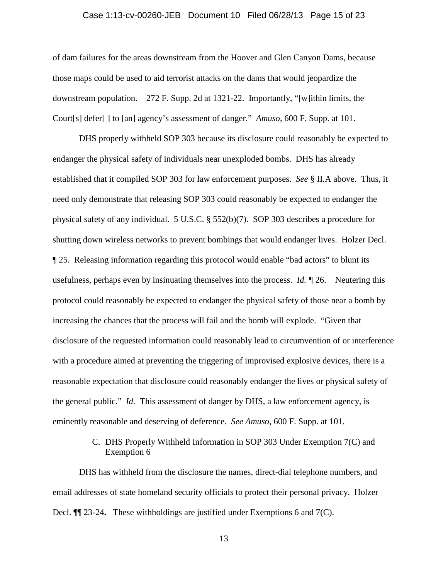#### Case 1:13-cv-00260-JEB Document 10 Filed 06/28/13 Page 15 of 23

of dam failures for the areas downstream from the Hoover and Glen Canyon Dams, because those maps could be used to aid terrorist attacks on the dams that would jeopardize the downstream population. 272 F. Supp. 2d at 1321-22. Importantly, "[w]ithin limits, the Court[s] defer[ ] to [an] agency's assessment of danger." *Amuso*, 600 F. Supp. at 101.

DHS properly withheld SOP 303 because its disclosure could reasonably be expected to endanger the physical safety of individuals near unexploded bombs. DHS has already established that it compiled SOP 303 for law enforcement purposes. *See* § II.A above. Thus, it need only demonstrate that releasing SOP 303 could reasonably be expected to endanger the physical safety of any individual. 5 U.S.C. § 552(b)(7). SOP 303 describes a procedure for shutting down wireless networks to prevent bombings that would endanger lives. Holzer Decl. ¶ 25. Releasing information regarding this protocol would enable "bad actors" to blunt its usefulness, perhaps even by insinuating themselves into the process. *Id. ¶* 26. Neutering this protocol could reasonably be expected to endanger the physical safety of those near a bomb by increasing the chances that the process will fail and the bomb will explode. "Given that disclosure of the requested information could reasonably lead to circumvention of or interference with a procedure aimed at preventing the triggering of improvised explosive devices, there is a reasonable expectation that disclosure could reasonably endanger the lives or physical safety of the general public." *Id.* This assessment of danger by DHS, a law enforcement agency, is eminently reasonable and deserving of deference. *See Amuso*, 600 F. Supp. at 101.

# C. DHS Properly Withheld Information in SOP 303 Under Exemption 7(C) and Exemption 6

DHS has withheld from the disclosure the names, direct-dial telephone numbers, and email addresses of state homeland security officials to protect their personal privacy. Holzer Decl. ¶¶ 23-24**.** These withholdings are justified under Exemptions 6 and 7(C).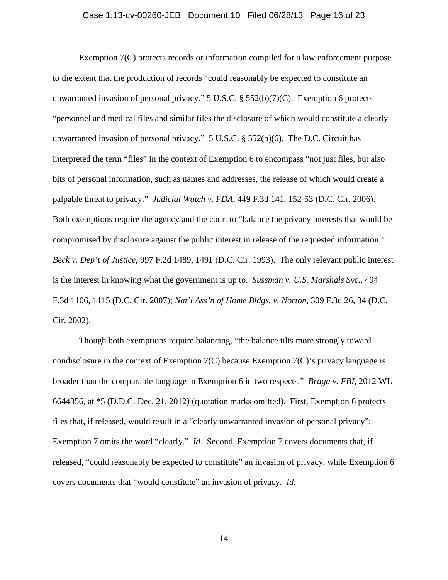#### Case 1:13-cv-00260-JEB Document 10 Filed 06/28/13 Page 16 of 23

Exemption 7(C) protects records or information compiled for a law enforcement purpose to the extent that the production of records "could reasonably be expected to constitute an unwarranted invasion of personal privacy." 5 U.S.C. § 552(b)(7)(C). Exemption 6 protects "personnel and medical files and similar files the disclosure of which would constitute a clearly unwarranted invasion of personal privacy." 5 U.S.C. § 552(b)(6). The D.C. Circuit has interpreted the term "files" in the context of Exemption 6 to encompass "not just files, but also bits of personal information, such as names and addresses, the release of which would create a palpable threat to privacy." *Judicial Watch v. FDA*, 449 F.3d 141, 152-53 (D.C. Cir. 2006). Both exemptions require the agency and the court to "balance the privacy interests that would be compromised by disclosure against the public interest in release of the requested information." *Beck v. Dep't of Justice*, 997 F.2d 1489, 1491 (D.C. Cir. 1993). The only relevant public interest is the interest in knowing what the government is up to. *Sussman v. U.S. Marshals Svc.*, 494 F.3d 1106, 1115 (D.C. Cir. 2007); *Nat'l Ass'n of Home Bldgs. v. Norton*, 309 F.3d 26, 34 (D.C. Cir. 2002).

 Though both exemptions require balancing, "the balance tilts more strongly toward nondisclosure in the context of Exemption 7(C) because Exemption 7(C)'s privacy language is broader than the comparable language in Exemption 6 in two respects." *Braga v. FBI,* 2012 WL 6644356, at \*5 (D.D.C. Dec. 21, 2012) (quotation marks omitted). First, Exemption 6 protects files that, if released, would result in a "clearly unwarranted invasion of personal privacy"; Exemption 7 omits the word "clearly." *Id.* Second, Exemption 7 covers documents that, if released, "could reasonably be expected to constitute" an invasion of privacy, while Exemption 6 covers documents that "would constitute" an invasion of privacy. *Id.*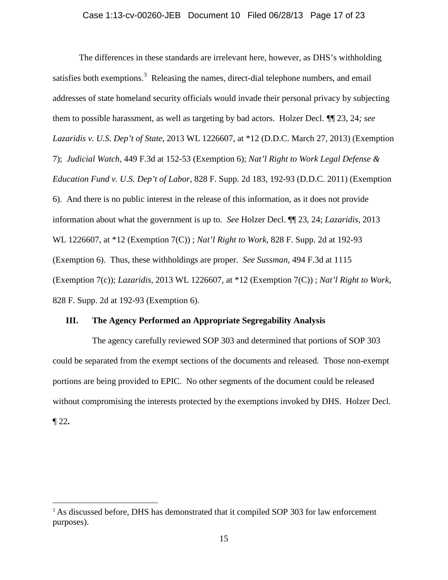The differences in these standards are irrelevant here, however, as DHS's withholding satisfies both exemptions.<sup>3</sup> Releasing the names, direct-dial telephone numbers, and email addresses of state homeland security officials would invade their personal privacy by subjecting them to possible harassment, as well as targeting by bad actors. Holzer Decl. *¶*¶ 23, 24*; see Lazaridis v. U.S. Dep't of State*, 2013 WL 1226607, at \*12 (D.D.C. March 27, 2013) (Exemption 7); *Judicial Watch*, 449 F.3d at 152-53 (Exemption 6); *Nat'l Right to Work Legal Defense & Education Fund v. U.S. Dep't of Labor*, 828 F. Supp. 2d 183, 192-93 (D.D.C. 2011) (Exemption 6). And there is no public interest in the release of this information, as it does not provide information about what the government is up to. *See* Holzer Decl. ¶¶ 23, 24; *Lazaridis*, 2013 WL 1226607, at \*12 (Exemption 7(C)) ; *Nat'l Right to Work*, 828 F. Supp. 2d at 192-93 (Exemption 6). Thus, these withholdings are proper. *See Sussman*, 494 F.3d at 1115 (Exemption 7(c)); *Lazaridis*, 2013 WL 1226607, at \*12 (Exemption 7(C)) ; *Nat'l Right to Work*, 828 F. Supp. 2d at 192-93 (Exemption 6).

#### **III. The Agency Performed an Appropriate Segregability Analysis**

The agency carefully reviewed SOP 303 and determined that portions of SOP 303 could be separated from the exempt sections of the documents and released. Those non-exempt portions are being provided to EPIC. No other segments of the document could be released without compromising the interests protected by the exemptions invoked by DHS. Holzer Decl. ¶ 22**.**

 $\overline{a}$ 

<sup>&</sup>lt;sup>3</sup> As discussed before, DHS has demonstrated that it compiled SOP 303 for law enforcement purposes).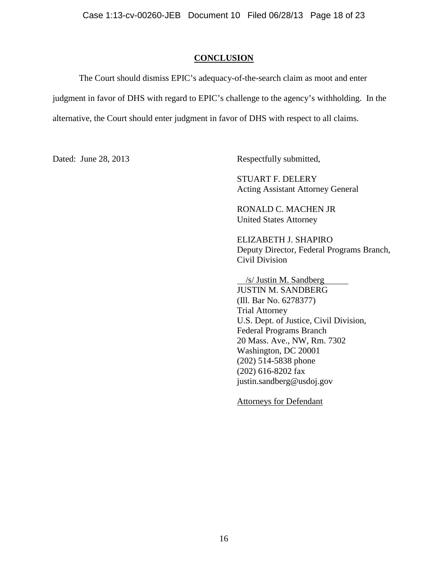## **CONCLUSION**

The Court should dismiss EPIC's adequacy-of-the-search claim as moot and enter judgment in favor of DHS with regard to EPIC's challenge to the agency's withholding. In the alternative, the Court should enter judgment in favor of DHS with respect to all claims.

Dated: June 28, 2013 Respectfully submitted,

 STUART F. DELERY Acting Assistant Attorney General

RONALD C. MACHEN JR United States Attorney

 ELIZABETH J. SHAPIRO Deputy Director, Federal Programs Branch, Civil Division

 /s/ Justin M. Sandberg JUSTIN M. SANDBERG (Ill. Bar No. 6278377) Trial Attorney U.S. Dept. of Justice, Civil Division, Federal Programs Branch 20 Mass. Ave., NW, Rm. 7302 Washington, DC 20001 (202) 514-5838 phone (202) 616-8202 fax justin.sandberg@usdoj.gov

Attorneys for Defendant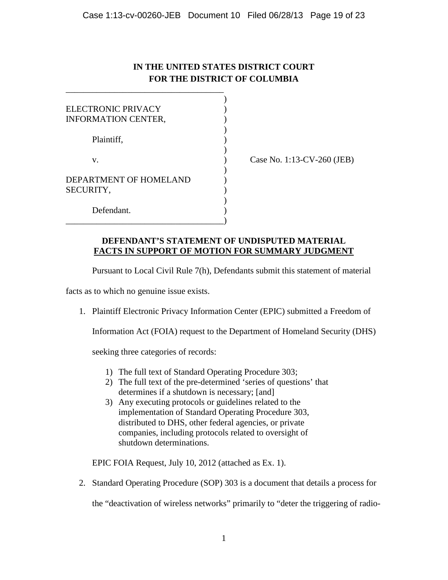# **IN THE UNITED STATES DISTRICT COURT FOR THE DISTRICT OF COLUMBIA**

| ELECTRONIC PRIVACY     |  |
|------------------------|--|
| INFORMATION CENTER,    |  |
| Plaintiff,             |  |
|                        |  |
| V.                     |  |
|                        |  |
| DEPARTMENT OF HOMELAND |  |
| SECURITY,              |  |
|                        |  |
| Defendant.             |  |
|                        |  |

\_\_\_\_\_\_\_\_\_\_\_\_\_\_\_\_\_\_\_\_\_\_\_\_\_\_\_\_\_\_\_\_\_\_\_\_

Case No. 1:13-CV-260 (JEB)

## **DEFENDANT'S STATEMENT OF UNDISPUTED MATERIAL FACTS IN SUPPORT OF MOTION FOR SUMMARY JUDGMENT**

Pursuant to Local Civil Rule 7(h), Defendants submit this statement of material

facts as to which no genuine issue exists.

1. Plaintiff Electronic Privacy Information Center (EPIC) submitted a Freedom of

Information Act (FOIA) request to the Department of Homeland Security (DHS)

seeking three categories of records:

- 1) The full text of Standard Operating Procedure 303;
- 2) The full text of the pre-determined 'series of questions' that determines if a shutdown is necessary; [and]
- 3) Any executing protocols or guidelines related to the implementation of Standard Operating Procedure 303, distributed to DHS, other federal agencies, or private companies, including protocols related to oversight of shutdown determinations.

EPIC FOIA Request, July 10, 2012 (attached as Ex. 1).

2. Standard Operating Procedure (SOP) 303 is a document that details a process for

the "deactivation of wireless networks" primarily to "deter the triggering of radio-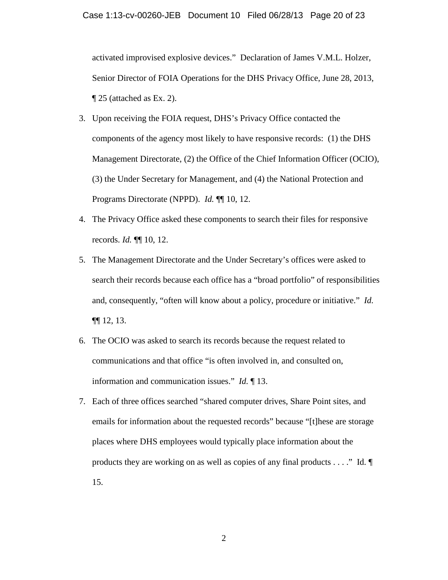activated improvised explosive devices." Declaration of James V.M.L. Holzer, Senior Director of FOIA Operations for the DHS Privacy Office, June 28, 2013, ¶ 25 (attached as Ex. 2).

- 3. Upon receiving the FOIA request, DHS's Privacy Office contacted the components of the agency most likely to have responsive records: (1) the DHS Management Directorate, (2) the Office of the Chief Information Officer (OCIO), (3) the Under Secretary for Management, and (4) the National Protection and Programs Directorate (NPPD). *Id.* ¶¶ 10, 12.
- 4. The Privacy Office asked these components to search their files for responsive records. *Id.* ¶¶ 10, 12.
- 5. The Management Directorate and the Under Secretary's offices were asked to search their records because each office has a "broad portfolio" of responsibilities and, consequently, "often will know about a policy, procedure or initiative." *Id.* ¶¶ 12, 13.
- 6. The OCIO was asked to search its records because the request related to communications and that office "is often involved in, and consulted on, information and communication issues." *Id.* ¶ 13.
- 7. Each of three offices searched "shared computer drives, Share Point sites, and emails for information about the requested records" because "[t]hese are storage places where DHS employees would typically place information about the products they are working on as well as copies of any final products . . . ." Id. ¶ 15.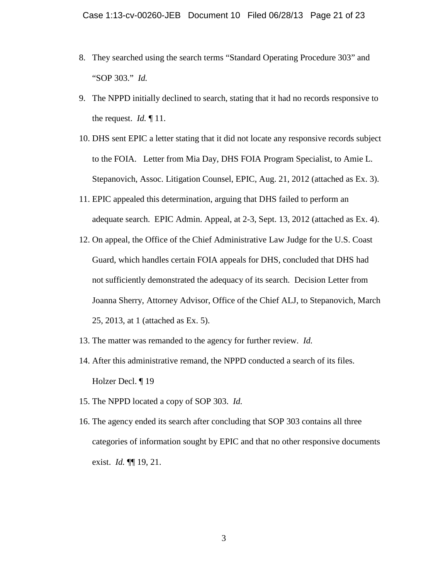- 8. They searched using the search terms "Standard Operating Procedure 303" and "SOP 303." *Id.*
- 9. The NPPD initially declined to search, stating that it had no records responsive to the request. *Id.* ¶ 11.
- 10. DHS sent EPIC a letter stating that it did not locate any responsive records subject to the FOIA. Letter from Mia Day, DHS FOIA Program Specialist, to Amie L. Stepanovich, Assoc. Litigation Counsel, EPIC, Aug. 21, 2012 (attached as Ex. 3).
- 11. EPIC appealed this determination, arguing that DHS failed to perform an adequate search. EPIC Admin. Appeal, at 2-3, Sept. 13, 2012 (attached as Ex. 4).
- 12. On appeal, the Office of the Chief Administrative Law Judge for the U.S. Coast Guard, which handles certain FOIA appeals for DHS, concluded that DHS had not sufficiently demonstrated the adequacy of its search. Decision Letter from Joanna Sherry, Attorney Advisor, Office of the Chief ALJ, to Stepanovich, March 25, 2013, at 1 (attached as Ex. 5).
- 13. The matter was remanded to the agency for further review. *Id.*
- 14. After this administrative remand, the NPPD conducted a search of its files. Holzer Decl. ¶ 19
- 15. The NPPD located a copy of SOP 303. *Id.*
- 16. The agency ended its search after concluding that SOP 303 contains all three categories of information sought by EPIC and that no other responsive documents exist. *Id.* ¶¶ 19, 21.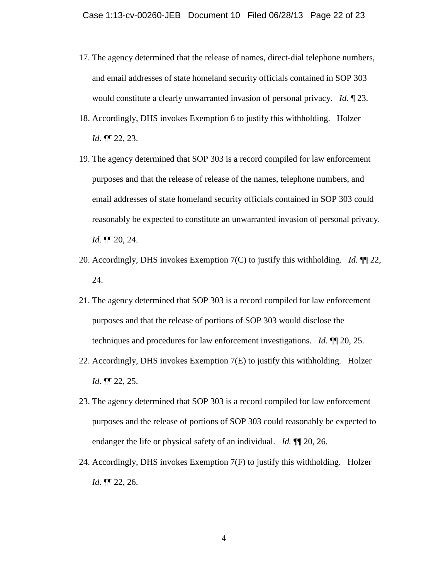- 17. The agency determined that the release of names, direct-dial telephone numbers, and email addresses of state homeland security officials contained in SOP 303 would constitute a clearly unwarranted invasion of personal privacy. *Id.* ¶ 23.
- 18. Accordingly, DHS invokes Exemption 6 to justify this withholding. Holzer *Id.* ¶¶ 22, 23.
- 19. The agency determined that SOP 303 is a record compiled for law enforcement purposes and that the release of release of the names, telephone numbers, and email addresses of state homeland security officials contained in SOP 303 could reasonably be expected to constitute an unwarranted invasion of personal privacy. *Id.* ¶¶ 20, 24.
- 20. Accordingly, DHS invokes Exemption 7(C) to justify this withholding. *Id.* ¶¶ 22, 24.
- 21. The agency determined that SOP 303 is a record compiled for law enforcement purposes and that the release of portions of SOP 303 would disclose the techniques and procedures for law enforcement investigations. *Id.* ¶¶ 20, 25.
- 22. Accordingly, DHS invokes Exemption 7(E) to justify this withholding. Holzer *Id.* ¶¶ 22, 25.
- 23. The agency determined that SOP 303 is a record compiled for law enforcement purposes and the release of portions of SOP 303 could reasonably be expected to endanger the life or physical safety of an individual. *Id.* ¶¶ 20, 26.
- 24. Accordingly, DHS invokes Exemption 7(F) to justify this withholding. Holzer *Id.* ¶¶ 22, 26.